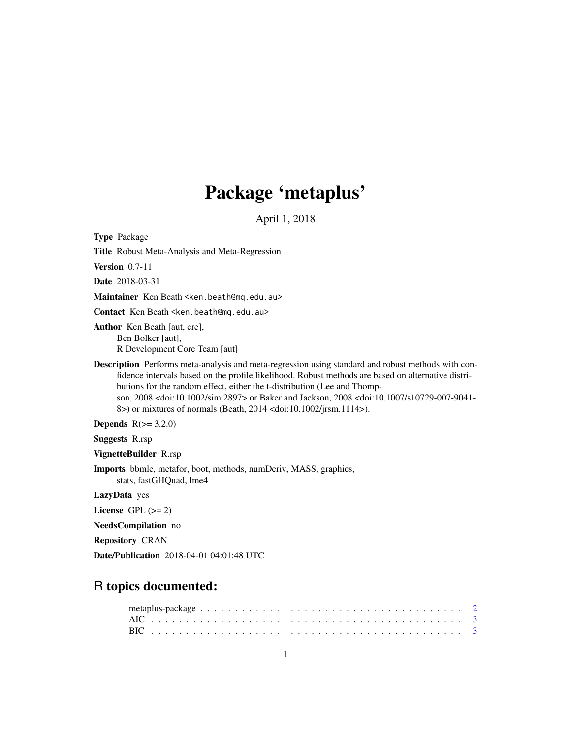# Package 'metaplus'

April 1, 2018

Type Package

Title Robust Meta-Analysis and Meta-Regression

Version 0.7-11

Date 2018-03-31

Maintainer Ken Beath <ken.beath@mq.edu.au>

Contact Ken Beath <ken.beath@mq.edu.au>

Author Ken Beath [aut, cre], Ben Bolker [aut], R Development Core Team [aut]

Description Performs meta-analysis and meta-regression using standard and robust methods with confidence intervals based on the profile likelihood. Robust methods are based on alternative distributions for the random effect, either the t-distribution (Lee and Thompson, 2008 <doi:10.1002/sim.2897> or Baker and Jackson, 2008 <doi:10.1007/s10729-007-9041- 8>) or mixtures of normals (Beath, 2014 <doi:10.1002/jrsm.1114>).

Depends  $R(>= 3.2.0)$ 

Suggests R.rsp

VignetteBuilder R.rsp

Imports bbmle, metafor, boot, methods, numDeriv, MASS, graphics, stats, fastGHQuad, lme4

LazyData yes

License GPL  $(>= 2)$ 

NeedsCompilation no

Repository CRAN

Date/Publication 2018-04-01 04:01:48 UTC

# R topics documented: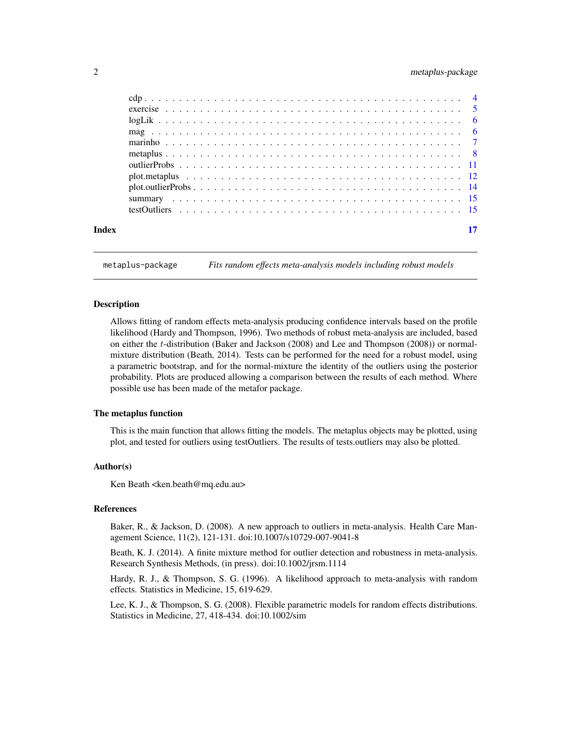### <span id="page-1-0"></span>2 metaplus-package

| Index | 17 |
|-------|----|
|       |    |

metaplus-package *Fits random effects meta-analysis models including robust models*

#### Description

Allows fitting of random effects meta-analysis producing confidence intervals based on the profile likelihood (Hardy and Thompson, 1996). Two methods of robust meta-analysis are included, based on either the t-distribution (Baker and Jackson (2008) and Lee and Thompson (2008)) or normalmixture distribution (Beath, 2014). Tests can be performed for the need for a robust model, using a parametric bootstrap, and for the normal-mixture the identity of the outliers using the posterior probability. Plots are produced allowing a comparison between the results of each method. Where possible use has been made of the metafor package.

#### The metaplus function

This is the main function that allows fitting the models. The metaplus objects may be plotted, using plot, and tested for outliers using testOutliers. The results of tests.outliers may also be plotted.

#### Author(s)

Ken Beath < ken.beath@mq.edu.au

#### References

Baker, R., & Jackson, D. (2008). A new approach to outliers in meta-analysis. Health Care Management Science, 11(2), 121-131. doi:10.1007/s10729-007-9041-8

Beath, K. J. (2014). A finite mixture method for outlier detection and robustness in meta-analysis. Research Synthesis Methods, (in press). doi:10.1002/jrsm.1114

Hardy, R. J., & Thompson, S. G. (1996). A likelihood approach to meta-analysis with random effects. Statistics in Medicine, 15, 619-629.

Lee, K. J., & Thompson, S. G. (2008). Flexible parametric models for random effects distributions. Statistics in Medicine, 27, 418-434. doi:10.1002/sim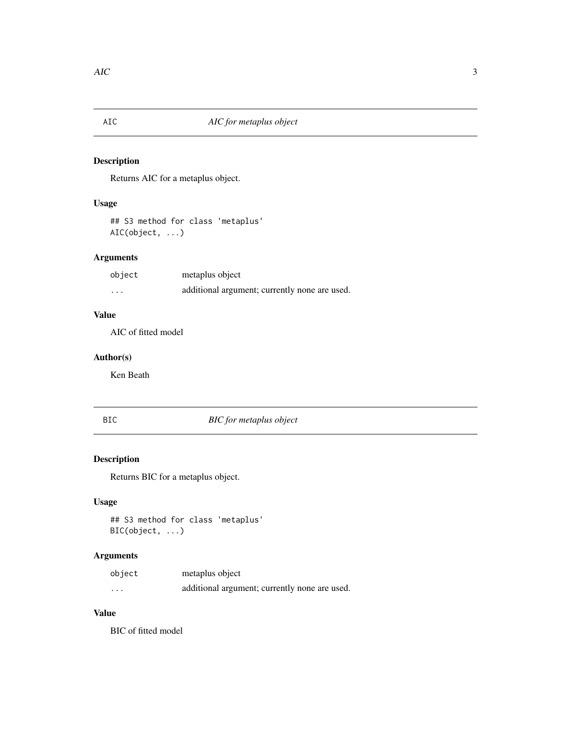<span id="page-2-0"></span>

Returns AIC for a metaplus object.

## Usage

## S3 method for class 'metaplus' AIC(object, ...)

# Arguments

| object                  | metaplus object                               |
|-------------------------|-----------------------------------------------|
| $\cdot$ $\cdot$ $\cdot$ | additional argument; currently none are used. |

#### Value

AIC of fitted model

### Author(s)

Ken Beath

# BIC *BIC for metaplus object*

# Description

Returns BIC for a metaplus object.

# Usage

## S3 method for class 'metaplus' BIC(object, ...)

## Arguments

| object   | metaplus object                               |
|----------|-----------------------------------------------|
| $\cdots$ | additional argument; currently none are used. |

#### Value

BIC of fitted model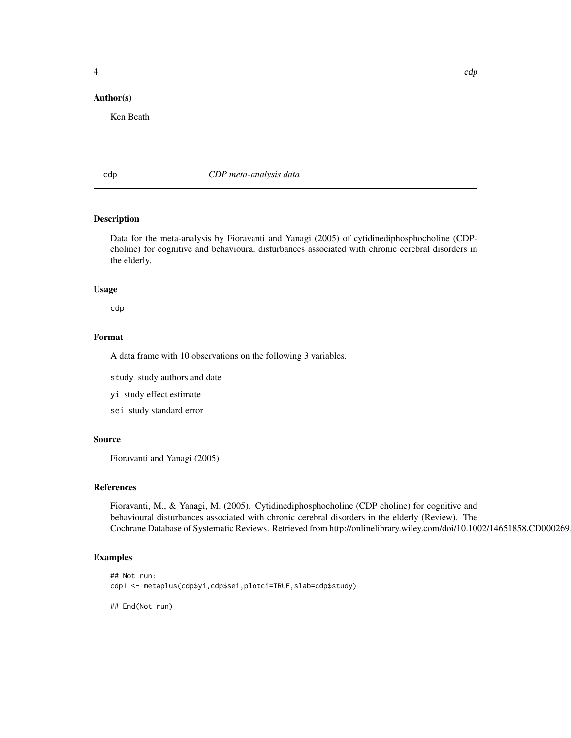#### <span id="page-3-0"></span>Author(s)

Ken Beath

cdp *CDP meta-analysis data*

### Description

Data for the meta-analysis by Fioravanti and Yanagi (2005) of cytidinediphosphocholine (CDPcholine) for cognitive and behavioural disturbances associated with chronic cerebral disorders in the elderly.

#### Usage

cdp

### Format

A data frame with 10 observations on the following 3 variables.

study study authors and date

yi study effect estimate

sei study standard error

#### Source

Fioravanti and Yanagi (2005)

#### References

Fioravanti, M., & Yanagi, M. (2005). Cytidinediphosphocholine (CDP choline) for cognitive and behavioural disturbances associated with chronic cerebral disorders in the elderly (Review). The Cochrane Database of Systematic Reviews. Retrieved from http://onlinelibrary.wiley.com/doi/10.1002/14651858.CD000269

#### Examples

```
## Not run:
cdp1 <- metaplus(cdp$yi,cdp$sei,plotci=TRUE,slab=cdp$study)
## End(Not run)
```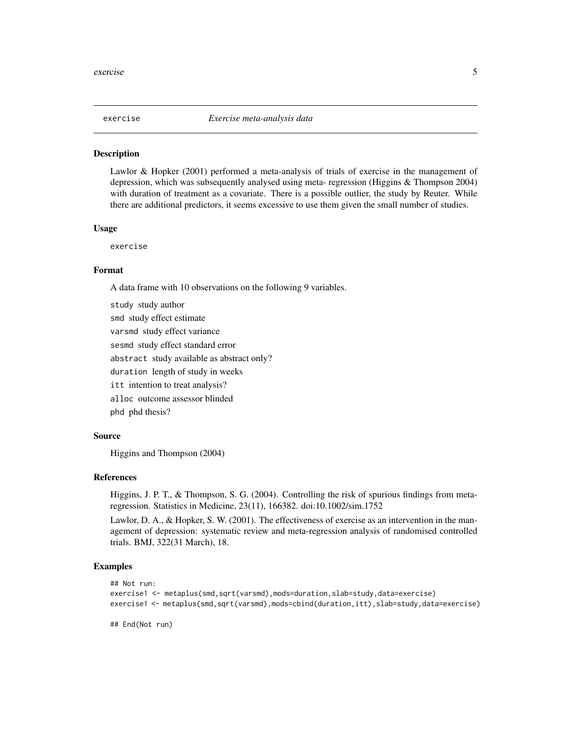<span id="page-4-0"></span>

Lawlor & Hopker (2001) performed a meta-analysis of trials of exercise in the management of depression, which was subsequently analysed using meta- regression (Higgins & Thompson 2004) with duration of treatment as a covariate. There is a possible outlier, the study by Reuter. While there are additional predictors, it seems excessive to use them given the small number of studies.

#### Usage

exercise

#### Format

A data frame with 10 observations on the following 9 variables.

study study author smd study effect estimate varsmd study effect variance sesmd study effect standard error abstract study available as abstract only? duration length of study in weeks itt intention to treat analysis? alloc outcome assessor blinded phd phd thesis?

#### Source

Higgins and Thompson (2004)

#### References

Higgins, J. P. T., & Thompson, S. G. (2004). Controlling the risk of spurious findings from metaregression. Statistics in Medicine, 23(11), 166382. doi:10.1002/sim.1752

Lawlor, D. A., & Hopker, S. W. (2001). The effectiveness of exercise as an intervention in the management of depression: systematic review and meta-regression analysis of randomised controlled trials. BMJ, 322(31 March), 18.

#### Examples

```
## Not run:
exercise1 <- metaplus(smd,sqrt(varsmd),mods=duration,slab=study,data=exercise)
exercise1 <- metaplus(smd,sqrt(varsmd),mods=cbind(duration,itt),slab=study,data=exercise)
```
## End(Not run)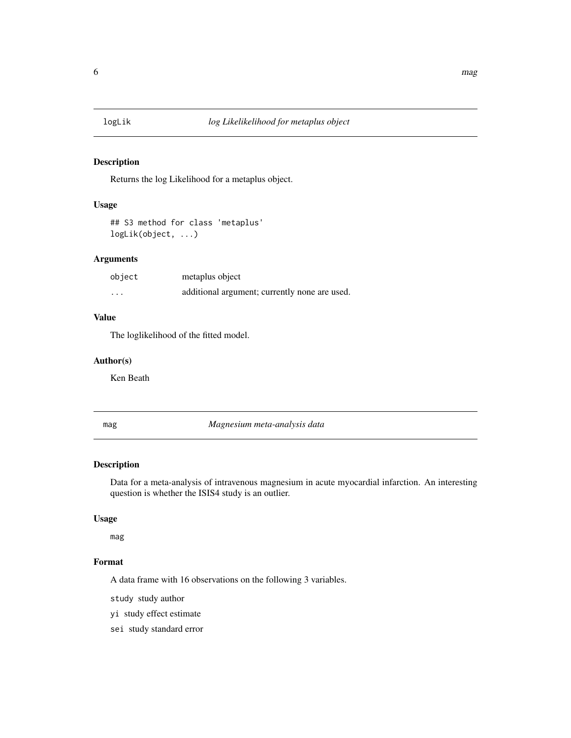<span id="page-5-0"></span>

Returns the log Likelihood for a metaplus object.

# Usage

## S3 method for class 'metaplus' logLik(object, ...)

### Arguments

| object  | metaplus object                               |
|---------|-----------------------------------------------|
| $\cdot$ | additional argument; currently none are used. |

### Value

The loglikelihood of the fitted model.

#### Author(s)

Ken Beath

mag *Magnesium meta-analysis data*

#### Description

Data for a meta-analysis of intravenous magnesium in acute myocardial infarction. An interesting question is whether the ISIS4 study is an outlier.

#### Usage

mag

### Format

A data frame with 16 observations on the following 3 variables.

study study author

yi study effect estimate

sei study standard error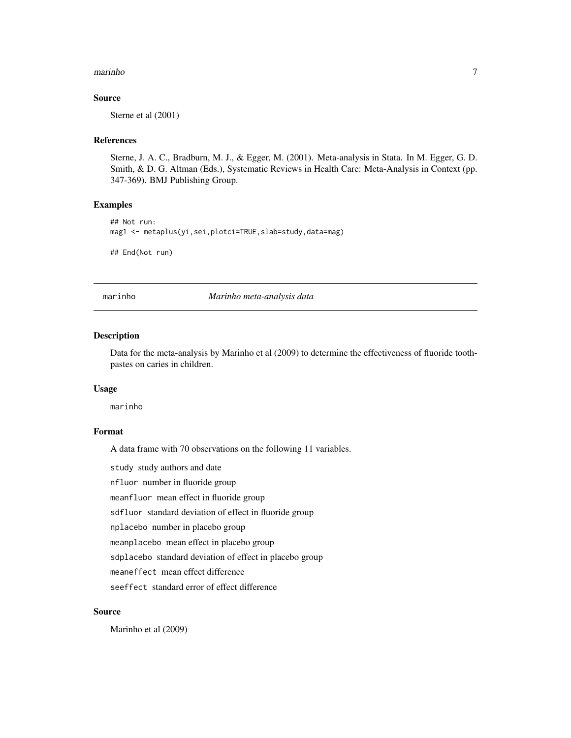#### <span id="page-6-0"></span>marinho 7

#### Source

Sterne et al (2001)

#### References

Sterne, J. A. C., Bradburn, M. J., & Egger, M. (2001). Meta-analysis in Stata. In M. Egger, G. D. Smith, & D. G. Altman (Eds.), Systematic Reviews in Health Care: Meta-Analysis in Context (pp. 347-369). BMJ Publishing Group.

#### Examples

```
## Not run:
mag1 <- metaplus(yi,sei,plotci=TRUE,slab=study,data=mag)
## End(Not run)
```
marinho *Marinho meta-analysis data*

#### Description

Data for the meta-analysis by Marinho et al (2009) to determine the effectiveness of fluoride toothpastes on caries in children.

#### Usage

marinho

#### Format

A data frame with 70 observations on the following 11 variables.

study study authors and date

nfluor number in fluoride group

meanfluor mean effect in fluoride group

sdfluor standard deviation of effect in fluoride group

nplacebo number in placebo group

meanplacebo mean effect in placebo group

sdplacebo standard deviation of effect in placebo group

meaneffect mean effect difference

seeffect standard error of effect difference

#### Source

Marinho et al (2009)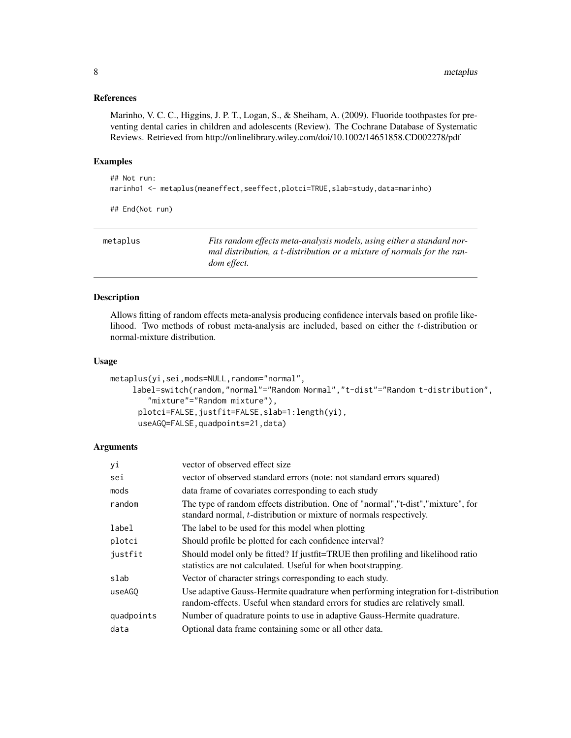#### <span id="page-7-0"></span>References

Marinho, V. C. C., Higgins, J. P. T., Logan, S., & Sheiham, A. (2009). Fluoride toothpastes for preventing dental caries in children and adolescents (Review). The Cochrane Database of Systematic Reviews. Retrieved from http://onlinelibrary.wiley.com/doi/10.1002/14651858.CD002278/pdf

#### Examples

```
## Not run:
marinho1 <- metaplus(meaneffect,seeffect,plotci=TRUE,slab=study,data=marinho)
```
## End(Not run)

| metaplus | Fits random effects meta-analysis models, using either a standard nor-  |
|----------|-------------------------------------------------------------------------|
|          | mal distribution, a t-distribution or a mixture of normals for the ran- |
|          | <i>dom effect.</i>                                                      |

#### Description

Allows fitting of random effects meta-analysis producing confidence intervals based on profile likelihood. Two methods of robust meta-analysis are included, based on either the  $t$ -distribution or normal-mixture distribution.

#### Usage

```
metaplus(yi,sei,mods=NULL,random="normal",
    label=switch(random,"normal"="Random Normal","t-dist"="Random t-distribution",
        "mixture"="Random mixture"),
     plotci=FALSE,justfit=FALSE,slab=1:length(yi),
     useAGQ=FALSE,quadpoints=21,data)
```
#### Arguments

| уi         | vector of observed effect size                                                                                                                                        |
|------------|-----------------------------------------------------------------------------------------------------------------------------------------------------------------------|
| sei        | vector of observed standard errors (note: not standard errors squared)                                                                                                |
| mods       | data frame of covariates corresponding to each study                                                                                                                  |
| random     | The type of random effects distribution. One of "normal", "t-dist", "mixture", for<br>standard normal, <i>t</i> -distribution or mixture of normals respectively.     |
| label      | The label to be used for this model when plotting                                                                                                                     |
| plotci     | Should profile be plotted for each confidence interval?                                                                                                               |
| justfit    | Should model only be fitted? If justfit=TRUE then profiling and likelihood ratio<br>statistics are not calculated. Useful for when bootstrapping.                     |
| slab       | Vector of character strings corresponding to each study.                                                                                                              |
| useAGO     | Use adaptive Gauss-Hermite quadrature when performing integration for t-distribution<br>random-effects. Useful when standard errors for studies are relatively small. |
| quadpoints | Number of quadrature points to use in adaptive Gauss-Hermite quadrature.                                                                                              |
| data       | Optional data frame containing some or all other data.                                                                                                                |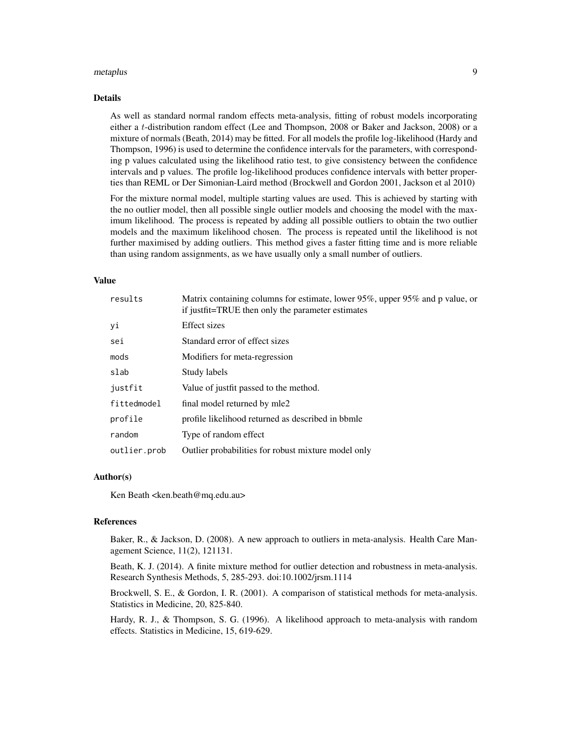#### metaplus 9

#### Details

As well as standard normal random effects meta-analysis, fitting of robust models incorporating either a t-distribution random effect (Lee and Thompson, 2008 or Baker and Jackson, 2008) or a mixture of normals (Beath, 2014) may be fitted. For all models the profile log-likelihood (Hardy and Thompson, 1996) is used to determine the confidence intervals for the parameters, with corresponding p values calculated using the likelihood ratio test, to give consistency between the confidence intervals and p values. The profile log-likelihood produces confidence intervals with better properties than REML or Der Simonian-Laird method (Brockwell and Gordon 2001, Jackson et al 2010)

For the mixture normal model, multiple starting values are used. This is achieved by starting with the no outlier model, then all possible single outlier models and choosing the model with the maximum likelihood. The process is repeated by adding all possible outliers to obtain the two outlier models and the maximum likelihood chosen. The process is repeated until the likelihood is not further maximised by adding outliers. This method gives a faster fitting time and is more reliable than using random assignments, as we have usually only a small number of outliers.

#### Value

| results      | Matrix containing columns for estimate, lower 95%, upper 95% and p value, or<br>if justfit=TRUE then only the parameter estimates |
|--------------|-----------------------------------------------------------------------------------------------------------------------------------|
| уi           | Effect sizes                                                                                                                      |
| sei          | Standard error of effect sizes                                                                                                    |
| mods         | Modifiers for meta-regression                                                                                                     |
| slab         | Study labels                                                                                                                      |
| justfit      | Value of justfit passed to the method.                                                                                            |
| fittedmodel  | final model returned by mle2                                                                                                      |
| profile      | profile likelihood returned as described in bbmle                                                                                 |
| random       | Type of random effect                                                                                                             |
| outlier.prob | Outlier probabilities for robust mixture model only                                                                               |

#### Author(s)

Ken Beath <ken.beath@mq.edu.au>

#### References

Baker, R., & Jackson, D. (2008). A new approach to outliers in meta-analysis. Health Care Management Science, 11(2), 121131.

Beath, K. J. (2014). A finite mixture method for outlier detection and robustness in meta-analysis. Research Synthesis Methods, 5, 285-293. doi:10.1002/jrsm.1114

Brockwell, S. E., & Gordon, I. R. (2001). A comparison of statistical methods for meta-analysis. Statistics in Medicine, 20, 825-840.

Hardy, R. J., & Thompson, S. G. (1996). A likelihood approach to meta-analysis with random effects. Statistics in Medicine, 15, 619-629.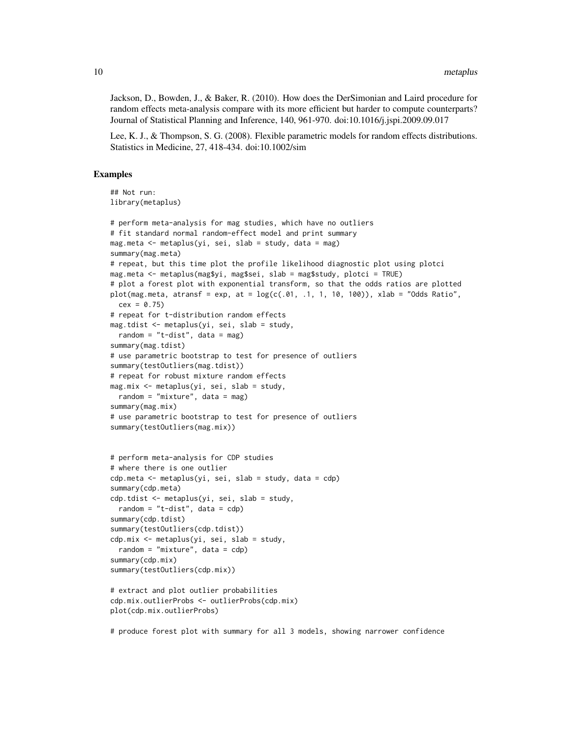Jackson, D., Bowden, J., & Baker, R. (2010). How does the DerSimonian and Laird procedure for random effects meta-analysis compare with its more efficient but harder to compute counterparts? Journal of Statistical Planning and Inference, 140, 961-970. doi:10.1016/j.jspi.2009.09.017

Lee, K. J., & Thompson, S. G. (2008). Flexible parametric models for random effects distributions. Statistics in Medicine, 27, 418-434. doi:10.1002/sim

#### Examples

```
## Not run:
library(metaplus)
# perform meta-analysis for mag studies, which have no outliers
# fit standard normal random-effect model and print summary
mag.meta \leq metaplus(yi, sei, slab = study, data = mag)
summary(mag.meta)
# repeat, but this time plot the profile likelihood diagnostic plot using plotci
mag.meta <- metaplus(mag$yi, mag$sei, slab = mag$study, plotci = TRUE)
# plot a forest plot with exponential transform, so that the odds ratios are plotted
plot(mag.meta, atransf = exp, at = log(c(.01, .1, 1, 10, 100)), xlab = "Odds Ratio",
  cex = 0.75# repeat for t-distribution random effects
mag.tdist <- metaplus(yi, sei, slab = study,
  random = "t-dist", data = mag)
summary(mag.tdist)
# use parametric bootstrap to test for presence of outliers
summary(testOutliers(mag.tdist))
# repeat for robust mixture random effects
mag.mix <- metaplus(yi, sei, slab = study,
  random = "mixture", data = mag)
summary(mag.mix)
# use parametric bootstrap to test for presence of outliers
summary(testOutliers(mag.mix))
# perform meta-analysis for CDP studies
# where there is one outlier
cdp.meta <- metaplus(yi, sei, slab = study, data = cdp)
summary(cdp.meta)
cdp.tdist <- metaplus(yi, sei, slab = study,
  random = "t-dist", data = cdp)
summary(cdp.tdist)
summary(testOutliers(cdp.tdist))
cdp.mix <- metaplus(yi, sei, slab = study,
  random = "mixture", data = cdp)
summary(cdp.mix)
summary(testOutliers(cdp.mix))
# extract and plot outlier probabilities
cdp.mix.outlierProbs <- outlierProbs(cdp.mix)
plot(cdp.mix.outlierProbs)
```
# produce forest plot with summary for all 3 models, showing narrower confidence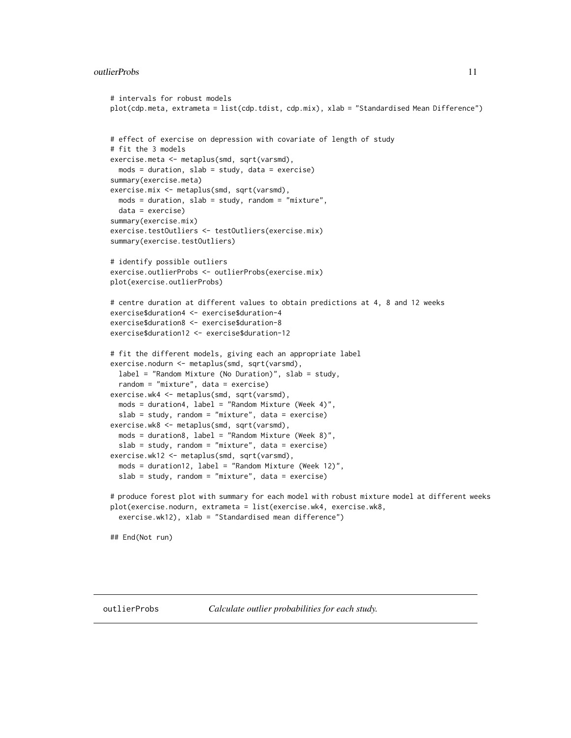#### <span id="page-10-0"></span>outlierProbs 11

```
# intervals for robust models
plot(cdp.meta, extrameta = list(cdp.tdist, cdp.mix), xlab = "Standardised Mean Difference")
# effect of exercise on depression with covariate of length of study
# fit the 3 models
exercise.meta <- metaplus(smd, sqrt(varsmd),
 mods = duration, slab = study, data = exercise)
summary(exercise.meta)
exercise.mix <- metaplus(smd, sqrt(varsmd),
 mods = duration, slab = study, random = "mixture",
 data = exercise)
summary(exercise.mix)
exercise.testOutliers <- testOutliers(exercise.mix)
summary(exercise.testOutliers)
# identify possible outliers
exercise.outlierProbs <- outlierProbs(exercise.mix)
plot(exercise.outlierProbs)
# centre duration at different values to obtain predictions at 4, 8 and 12 weeks
exercise$duration4 <- exercise$duration-4
exercise$duration8 <- exercise$duration-8
exercise$duration12 <- exercise$duration-12
# fit the different models, giving each an appropriate label
exercise.nodurn <- metaplus(smd, sqrt(varsmd),
 label = "Random Mixture (No Duration)", slab = study,
 random = "mixture", data = exercise)
exercise.wk4 <- metaplus(smd, sqrt(varsmd),
 mods = duration4, label = "Random Mixture (Week 4)",
 slab = study, random = "mixture", data = exercise)
exercise.wk8 <- metaplus(smd, sqrt(varsmd),
 mods = duration8, label = "Random Mixture (Week 8)",
 slab = study, random = "mixture", data = exercise)
exercise.wk12 <- metaplus(smd, sqrt(varsmd),
 mods = duration12, label = "Random Mixture (Week 12)",
 slab = study, random = "mixture", data = exercise)
# produce forest plot with summary for each model with robust mixture model at different weeks
plot(exercise.nodurn, extrameta = list(exercise.wk4, exercise.wk8,
 exercise.wk12), xlab = "Standardised mean difference")
## End(Not run)
```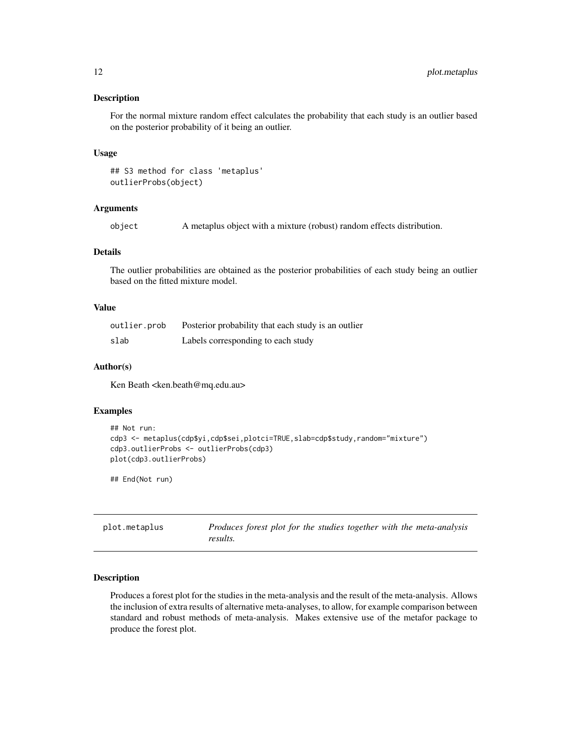<span id="page-11-0"></span>For the normal mixture random effect calculates the probability that each study is an outlier based on the posterior probability of it being an outlier.

#### Usage

## S3 method for class 'metaplus' outlierProbs(object)

#### Arguments

object A metaplus object with a mixture (robust) random effects distribution.

#### Details

The outlier probabilities are obtained as the posterior probabilities of each study being an outlier based on the fitted mixture model.

#### Value

| outlier.prob | Posterior probability that each study is an outlier |
|--------------|-----------------------------------------------------|
| slab         | Labels corresponding to each study                  |

#### Author(s)

Ken Beath <ken.beath@mq.edu.au>

#### Examples

```
## Not run:
cdp3 <- metaplus(cdp$yi,cdp$sei,plotci=TRUE,slab=cdp$study,random="mixture")
cdp3.outlierProbs <- outlierProbs(cdp3)
plot(cdp3.outlierProbs)
```
## End(Not run)

| plot.metaplus | Produces forest plot for the studies together with the meta-analysis |  |  |  |  |  |
|---------------|----------------------------------------------------------------------|--|--|--|--|--|
|               | results.                                                             |  |  |  |  |  |

#### Description

Produces a forest plot for the studies in the meta-analysis and the result of the meta-analysis. Allows the inclusion of extra results of alternative meta-analyses, to allow, for example comparison between standard and robust methods of meta-analysis. Makes extensive use of the metafor package to produce the forest plot.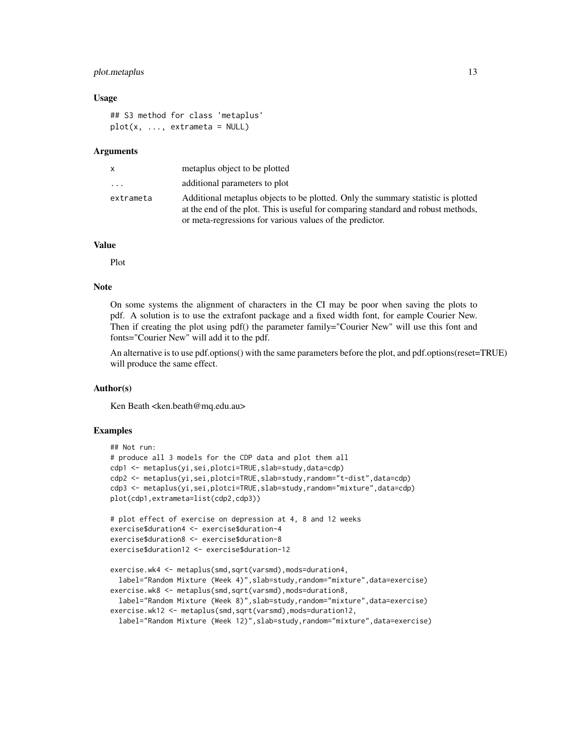#### plot.metaplus 13

#### Usage

```
## S3 method for class 'metaplus'
plot(x, ..., extrameta = NULL)
```
#### Arguments

| x                       | metaplus object to be plotted                                                                                                                                         |
|-------------------------|-----------------------------------------------------------------------------------------------------------------------------------------------------------------------|
| $\cdot$ $\cdot$ $\cdot$ | additional parameters to plot                                                                                                                                         |
| extrameta               | Additional metaplus objects to be plotted. Only the summary statistic is plotted<br>at the end of the plot. This is useful for comparing standard and robust methods, |
|                         | or meta-regressions for various values of the predictor.                                                                                                              |

#### Value

Plot

#### Note

On some systems the alignment of characters in the CI may be poor when saving the plots to pdf. A solution is to use the extrafont package and a fixed width font, for eample Courier New. Then if creating the plot using pdf() the parameter family="Courier New" will use this font and fonts="Courier New" will add it to the pdf.

An alternative is to use pdf.options() with the same parameters before the plot, and pdf.options(reset=TRUE) will produce the same effect.

#### Author(s)

Ken Beath <ken.beath@mq.edu.au>

#### Examples

```
## Not run:
# produce all 3 models for the CDP data and plot them all
cdp1 <- metaplus(yi,sei,plotci=TRUE,slab=study,data=cdp)
cdp2 <- metaplus(yi,sei,plotci=TRUE,slab=study,random="t-dist",data=cdp)
cdp3 <- metaplus(yi,sei,plotci=TRUE,slab=study,random="mixture",data=cdp)
plot(cdp1,extrameta=list(cdp2,cdp3))
# plot effect of exercise on depression at 4, 8 and 12 weeks
exercise$duration4 <- exercise$duration-4
exercise$duration8 <- exercise$duration-8
exercise$duration12 <- exercise$duration-12
exercise.wk4 <- metaplus(smd,sqrt(varsmd),mods=duration4,
 label="Random Mixture (Week 4)", slab=study, random="mixture", data=exercise)
exercise.wk8 <- metaplus(smd,sqrt(varsmd),mods=duration8,
 label="Random Mixture (Week 8)",slab=study,random="mixture",data=exercise)
exercise.wk12 <- metaplus(smd,sqrt(varsmd),mods=duration12,
 label="Random Mixture (Week 12)",slab=study,random="mixture",data=exercise)
```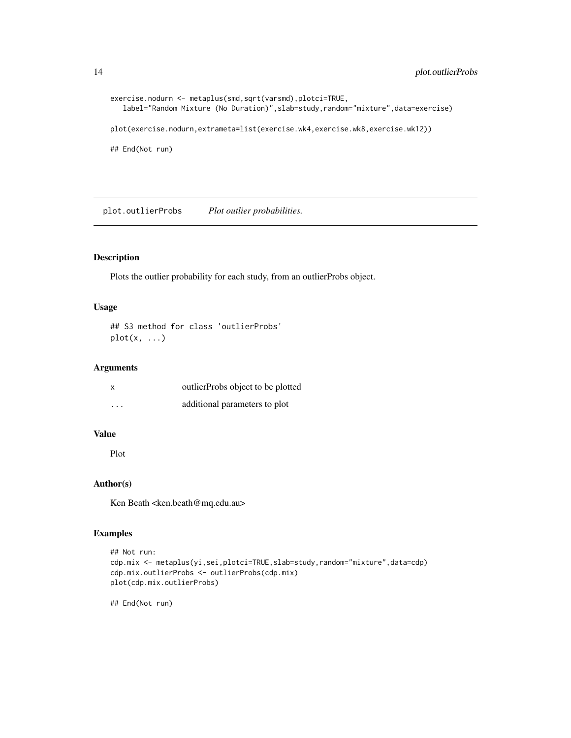```
exercise.nodurn <- metaplus(smd,sqrt(varsmd),plotci=TRUE,
   label="Random Mixture (No Duration)",slab=study,random="mixture",data=exercise)
plot(exercise.nodurn,extrameta=list(exercise.wk4,exercise.wk8,exercise.wk12))
## End(Not run)
```
plot.outlierProbs *Plot outlier probabilities.*

#### Description

Plots the outlier probability for each study, from an outlierProbs object.

#### Usage

```
## S3 method for class 'outlierProbs'
plot(x, \ldots)
```
#### Arguments

| x                       | outlierProbs object to be plotted |
|-------------------------|-----------------------------------|
| $\cdot$ $\cdot$ $\cdot$ | additional parameters to plot     |

#### Value

Plot

#### Author(s)

Ken Beath <ken.beath@mq.edu.au>

#### Examples

```
## Not run:
cdp.mix <- metaplus(yi,sei,plotci=TRUE,slab=study,random="mixture",data=cdp)
cdp.mix.outlierProbs <- outlierProbs(cdp.mix)
plot(cdp.mix.outlierProbs)
```
## End(Not run)

<span id="page-13-0"></span>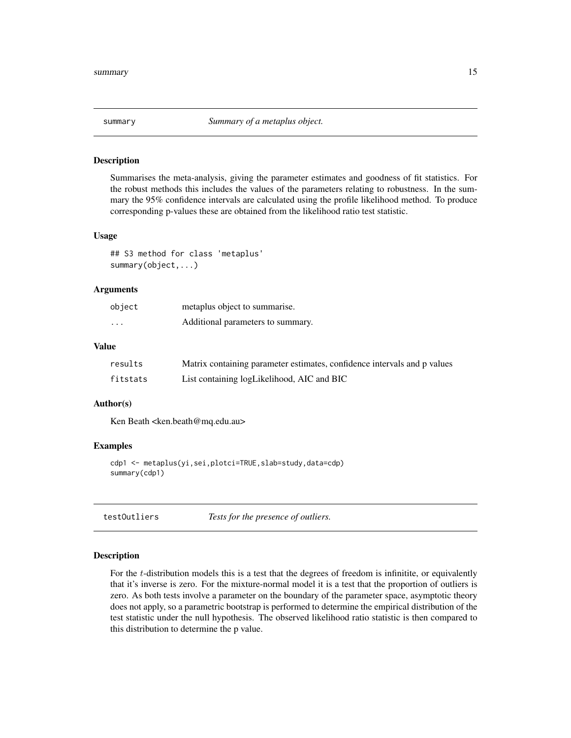<span id="page-14-0"></span>

Summarises the meta-analysis, giving the parameter estimates and goodness of fit statistics. For the robust methods this includes the values of the parameters relating to robustness. In the summary the 95% confidence intervals are calculated using the profile likelihood method. To produce corresponding p-values these are obtained from the likelihood ratio test statistic.

#### Usage

## S3 method for class 'metaplus' summary(object,...)

#### Arguments

| object                  | metaplus object to summarise.     |
|-------------------------|-----------------------------------|
| $\cdot$ $\cdot$ $\cdot$ | Additional parameters to summary. |

#### Value

| results  | Matrix containing parameter estimates, confidence intervals and p values |
|----------|--------------------------------------------------------------------------|
| fitstats | List containing logLikelihood, AIC and BIC                               |

#### Author(s)

Ken Beath <ken.beath@mq.edu.au>

#### Examples

```
cdp1 <- metaplus(yi,sei,plotci=TRUE,slab=study,data=cdp)
summary(cdp1)
```
testOutliers *Tests for the presence of outliers.*

#### Description

For the *t*-distribution models this is a test that the degrees of freedom is infinitite, or equivalently that it's inverse is zero. For the mixture-normal model it is a test that the proportion of outliers is zero. As both tests involve a parameter on the boundary of the parameter space, asymptotic theory does not apply, so a parametric bootstrap is performed to determine the empirical distribution of the test statistic under the null hypothesis. The observed likelihood ratio statistic is then compared to this distribution to determine the p value.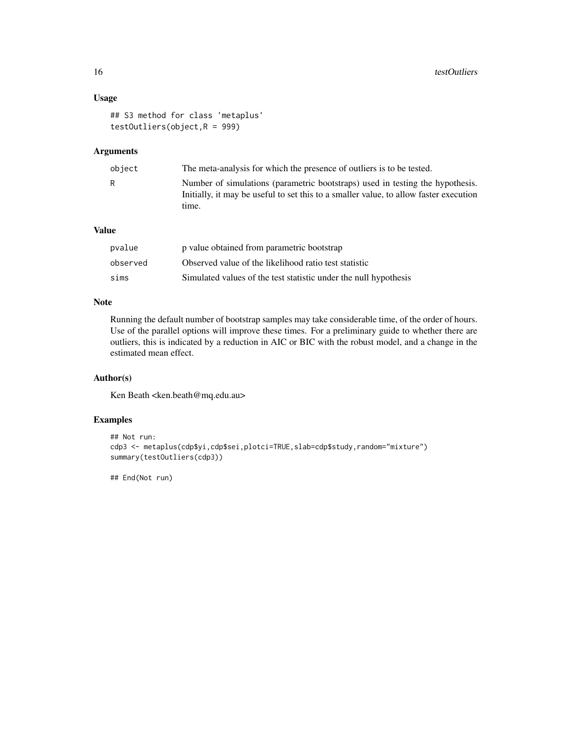#### Usage

```
## S3 method for class 'metaplus'
testOutliers(object,R = 999)
```
#### Arguments

| object | The meta-analysis for which the presence of outliers is to be tested.                                                                                                           |
|--------|---------------------------------------------------------------------------------------------------------------------------------------------------------------------------------|
| R      | Number of simulations (parametric bootstraps) used in testing the hypothesis.<br>Initially, it may be useful to set this to a smaller value, to allow faster execution<br>time. |

# Value

| pvalue   | p value obtained from parametric bootstrap                       |
|----------|------------------------------------------------------------------|
| observed | Observed value of the likelihood ratio test statistic            |
| sims     | Simulated values of the test statistic under the null hypothesis |

# Note

Running the default number of bootstrap samples may take considerable time, of the order of hours. Use of the parallel options will improve these times. For a preliminary guide to whether there are outliers, this is indicated by a reduction in AIC or BIC with the robust model, and a change in the estimated mean effect.

#### Author(s)

Ken Beath <ken.beath@mq.edu.au>

# Examples

```
## Not run:
cdp3 <- metaplus(cdp$yi,cdp$sei,plotci=TRUE,slab=cdp$study,random="mixture")
summary(testOutliers(cdp3))
```
## End(Not run)